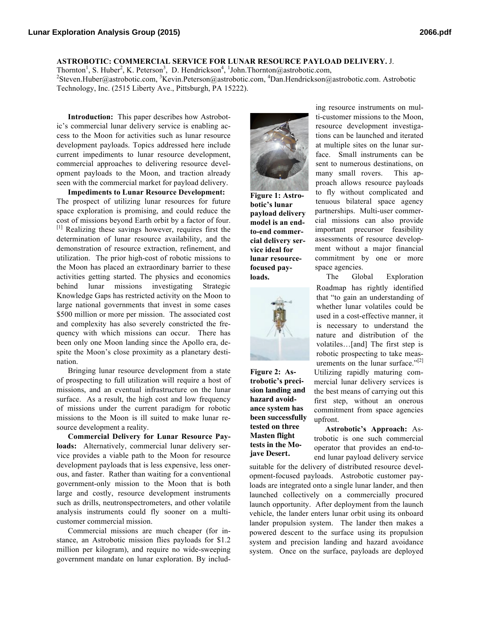## **ASTROBOTIC: COMMERCIAL SERVICE FOR LUNAR RESOURCE PAYLOAD DELIVERY.** J.

Thornton<sup>1</sup>, S. Huber<sup>2</sup>, K. Peterson<sup>3</sup>, D. Hendrickson<sup>4</sup>, <sup>1</sup>John.Thornton@astrobotic.com, Steven.Huber@astrobotic.com, <sup>3</sup>Kevin.Peterson@astrobotic.com, <sup>4</sup>Dan.Hendrickson@astrobotic.com. Astrobotic Technology, Inc. (2515 Liberty Ave., Pittsburgh, PA 15222).

**Introduction:** This paper describes how Astrobotic's commercial lunar delivery service is enabling access to the Moon for activities such as lunar resource development payloads. Topics addressed here include current impediments to lunar resource development, commercial approaches to delivering resource development payloads to the Moon, and traction already seen with the commercial market for payload delivery.

**Impediments to Lunar Resource Development:** The prospect of utilizing lunar resources for future space exploration is promising, and could reduce the cost of missions beyond Earth orbit by a factor of four. [1] Realizing these savings however, requires first the determination of lunar resource availability, and the demonstration of resource extraction, refinement, and utilization. The prior high-cost of robotic missions to the Moon has placed an extraordinary barrier to these activities getting started. The physics and economics behind lunar missions investigating Strategic Knowledge Gaps has restricted activity on the Moon to large national governments that invest in some cases \$500 million or more per mission. The associated cost and complexity has also severely constricted the frequency with which missions can occur. There has been only one Moon landing since the Apollo era, despite the Moon's close proximity as a planetary destination.

Bringing lunar resource development from a state of prospecting to full utilization will require a host of missions, and an eventual infrastructure on the lunar surface. As a result, the high cost and low frequency of missions under the current paradigm for robotic missions to the Moon is ill suited to make lunar resource development a reality.

**Commercial Delivery for Lunar Resource Payloads:** Alternatively, commercial lunar delivery service provides a viable path to the Moon for resource development payloads that is less expensive, less onerous, and faster. Rather than waiting for a conventional government-only mission to the Moon that is both large and costly, resource development instruments such as drills, neutronspectrometers, and other volatile analysis instruments could fly sooner on a multicustomer commercial mission.

Commercial missions are much cheaper (for instance, an Astrobotic mission flies payloads for \$1.2 million per kilogram), and require no wide-sweeping government mandate on lunar exploration. By includ-



**Figure 1: Astrobotic's lunar payload delivery model is an endto-end commercial delivery service ideal for lunar resourcefocused payloads.**



**Figure 2: Astrobotic's precision landing and hazard avoidance system has been successfully tested on three Masten flight tests in the Mojave Desert.**

ing resource instruments on multi-customer missions to the Moon, resource development investigations can be launched and iterated at multiple sites on the lunar surface. Small instruments can be sent to numerous destinations, on many small rovers. This approach allows resource payloads to fly without complicated and tenuous bilateral space agency partnerships. Multi-user commercial missions can also provide important precursor feasibility assessments of resource development without a major financial commitment by one or more space agencies.

The Global Exploration Roadmap has rightly identified that "to gain an understanding of whether lunar volatiles could be used in a cost-effective manner, it is necessary to understand the nature and distribution of the volatiles…[and] The first step is robotic prospecting to take measurements on the lunar surface." $^{2[2]}$ Utilizing rapidly maturing commercial lunar delivery services is the best means of carrying out this first step, without an onerous commitment from space agencies upfront.

**Astrobotic's Approach:** Astrobotic is one such commercial operator that provides an end-toend lunar payload delivery service

suitable for the delivery of distributed resource development-focused payloads. Astrobotic customer payloads are integrated onto a single lunar lander, and then launched collectively on a commercially procured launch opportunity. After deployment from the launch vehicle, the lander enters lunar orbit using its onboard lander propulsion system. The lander then makes a powered descent to the surface using its propulsion system and precision landing and hazard avoidance system. Once on the surface, payloads are deployed